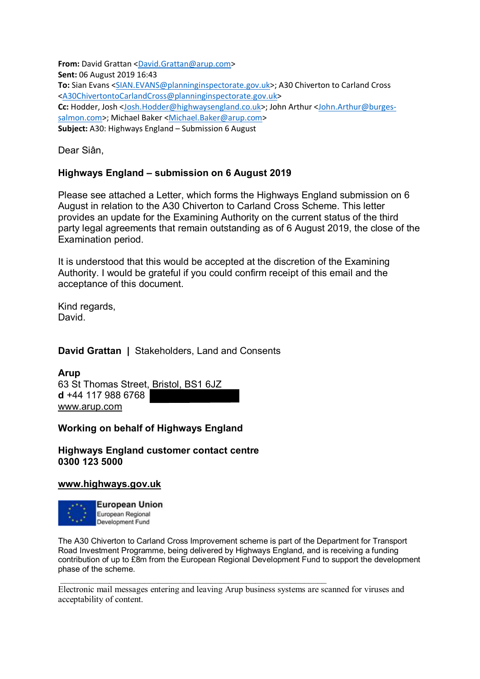**From:** David Grattan [<David.Grattan@arup.com>](mailto:David.Grattan@arup.com) **Sent:** 06 August 2019 16:43 **To:** Sian Evans [<SIAN.EVANS@planninginspectorate.gov.uk>](mailto:SIAN.EVANS@planninginspectorate.gov.uk); A30 Chiverton to Carland Cross [<A30ChivertontoCarlandCross@planninginspectorate.gov.uk>](mailto:A30ChivertontoCarlandCross@planninginspectorate.gov.uk) **Cc:** Hodder, Josh [<Josh.Hodder@highwaysengland.co.uk>](mailto:Josh.Hodder@highwaysengland.co.uk); John Arthur [<John.Arthur@burges](mailto:John.Arthur@burges-salmon.com)[salmon.com>](mailto:John.Arthur@burges-salmon.com); Michael Baker [<Michael.Baker@arup.com>](mailto:Michael.Baker@arup.com) **Subject:** A30: Highways England – Submission 6 August

Dear Siân,

## **Highways England – submission on 6 August 2019**

Please see attached a Letter, which forms the Highways England submission on 6 August in relation to the A30 Chiverton to Carland Cross Scheme. This letter provides an update for the Examining Authority on the current status of the third party legal agreements that remain outstanding as of 6 August 2019, the close of the Examination period.

It is understood that this would be accepted at the discretion of the Examining Authority. I would be grateful if you could confirm receipt of this email and the acceptance of this document.

Kind regards, David.

**David Grattan |** Stakeholders, Land and Consents

#### **Arup**

63 St Thomas Street, Bristol, BS1 6JZ **d** +44 117 988 6768 [www.arup.com](https://gbr01.safelinks.protection.outlook.com/?url=http%3A%2F%2Fwww.arup.com%2F&data=02%7C01%7CA30ChivertontoCarlandCross%40planninginspectorate.gov.uk%7C8c3dd1d203504afd66ca08d71a84c8e8%7C5878df986f8848ab9322998ce557088d%7C1%7C0%7C637007030363250946&sdata=CF08hp4M6WOK%2FMrgH9ghcbHhBSp2T8u9gN0c4umVfRk%3D&reserved=0)

## **Working on behalf of Highways England**

**Highways England customer contact centre 0300 123 5000**

#### **[www.highways.gov.uk](https://gbr01.safelinks.protection.outlook.com/?url=http%3A%2F%2Fwww.highways.gov.uk%2F&data=02%7C01%7CA30ChivertontoCarlandCross%40planninginspectorate.gov.uk%7C8c3dd1d203504afd66ca08d71a84c8e8%7C5878df986f8848ab9322998ce557088d%7C1%7C0%7C637007030363250946&sdata=w9%2Fqq4Hr0U2h6HdTW7wDBUkB8DFyKuOcMJGUh1IVa8Y%3D&reserved=0)**



The A30 Chiverton to Carland Cross Improvement scheme is part of the Department for Transport Road Investment Programme, being delivered by Highways England, and is receiving a funding contribution of up to £8m from the European Regional Development Fund to support the development phase of the scheme.

Electronic mail messages entering and leaving Arup business systems are scanned for viruses and acceptability of content.

\_\_\_\_\_\_\_\_\_\_\_\_\_\_\_\_\_\_\_\_\_\_\_\_\_\_\_\_\_\_\_\_\_\_\_\_\_\_\_\_\_\_\_\_\_\_\_\_\_\_\_\_\_\_\_\_\_\_\_\_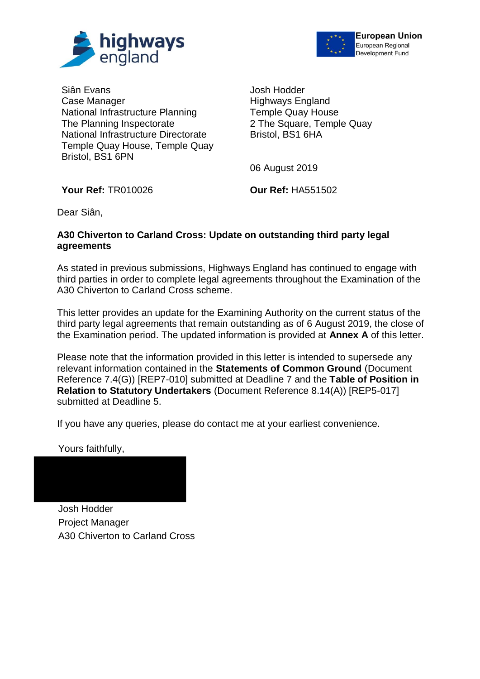



Siân Evans Case Manager National Infrastructure Planning The Planning Inspectorate National Infrastructure Directorate Temple Quay House, Temple Quay Bristol, BS1 6PN

Josh Hodder Highways England Temple Quay House 2 The Square, Temple Quay Bristol, BS1 6HA

06 August 2019

**Your Ref:** TR010026 **Our Ref:** HA551502

Dear Siân,

#### **A30 Chiverton to Carland Cross: Update on outstanding third party legal agreements**

As stated in previous submissions, Highways England has continued to engage with third parties in order to complete legal agreements throughout the Examination of the A30 Chiverton to Carland Cross scheme.

This letter provides an update for the Examining Authority on the current status of the third party legal agreements that remain outstanding as of 6 August 2019, the close of the Examination period. The updated information is provided at **Annex A** of this letter.

Please note that the information provided in this letter is intended to supersede any relevant information contained in the **Statements of Common Ground** (Document Reference 7.4(G)) [REP7-010] submitted at Deadline 7 and the **Table of Position in Relation to Statutory Undertakers** (Document Reference 8.14(A)) [REP5-017] submitted at Deadline 5.

If you have any queries, please do contact me at your earliest convenience.

Yours faithfully.

Josh Hodder Project Manager A30 Chiverton to Carland Cross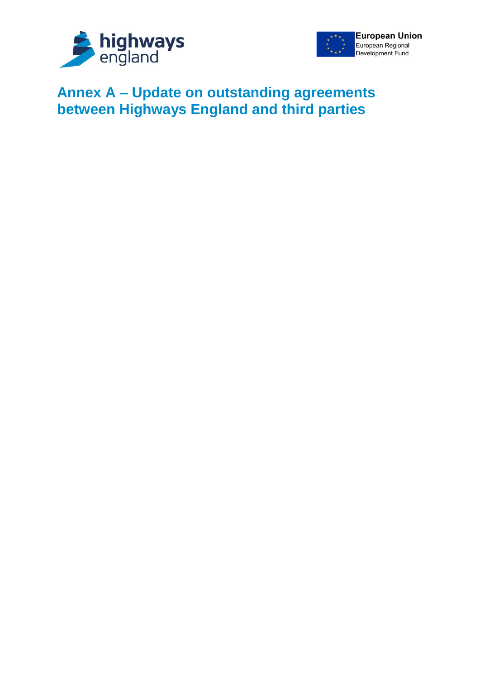



# **Annex A – Update on outstanding agreements between Highways England and third parties**